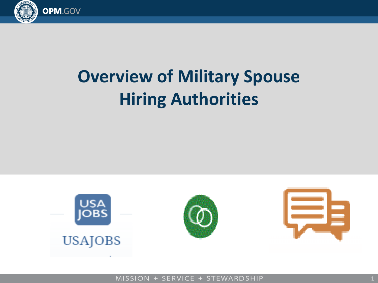

# **Overview of Military Spouse Hiring Authorities**



MISSION + SERVICE + STEWARDSHIP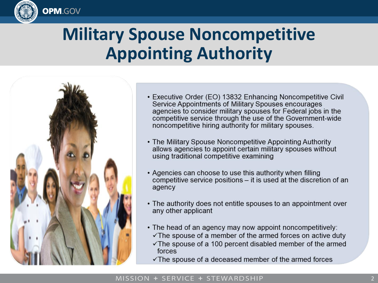

### **Military Spouse Noncompetitive Appointing Authority**



- Executive Order (EO) 13832 Enhancing Noncompetitive Civil Service Appointments of Military Spouses encourages agencies to consider military spouses for Federal jobs in the competitive service through the use of the Government-wide noncompetitive hiring authority for military spouses.
- The Military Spouse Noncompetitive Appointing Authority allows agencies to appoint certain military spouses without using traditional competitive examining
- Agencies can choose to use this authority when filling competitive service positions – it is used at the discretion of an agency
- The authority does not entitle spouses to an appointment over any other applicant
- The head of an agency may now appoint noncompetitively:
	- $\checkmark$  The spouse of a member of the armed forces on active duty  $\checkmark$  The spouse of a 100 percent disabled member of the armed
	- $\checkmark$  The spouse of a deceased member of the armed forces

#### MISSION + SERVICE + STEWARDSHIP

forces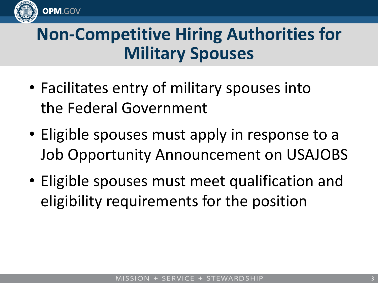

## **Non-Competitive Hiring Authorities for Military Spouses**

- Facilitates entry of military spouses into the Federal Government
- Eligible spouses must apply in response to a Job Opportunity Announcement on USAJOBS
- Eligible spouses must meet qualification and eligibility requirements for the position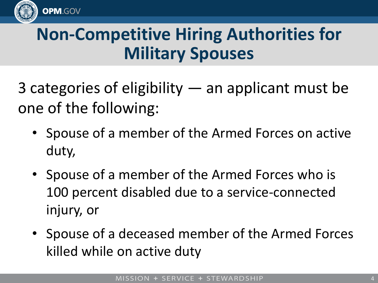

# **Non-Competitive Hiring Authorities for Military Spouses**

3 categories of eligibility — an applicant must be one of the following:

- Spouse of a member of the Armed Forces on active duty,
- Spouse of a member of the Armed Forces who is 100 percent disabled due to a service-connected injury, or
- Spouse of a deceased member of the Armed Forces killed while on active duty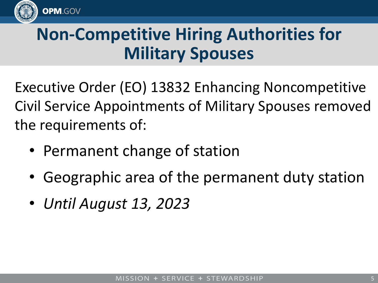

# **Non-Competitive Hiring Authorities for Military Spouses**

Executive Order (EO) 13832 Enhancing Noncompetitive Civil Service Appointments of Military Spouses removed the requirements of:

- Permanent change of station
- Geographic area of the permanent duty station
- *Until August 13, 2023*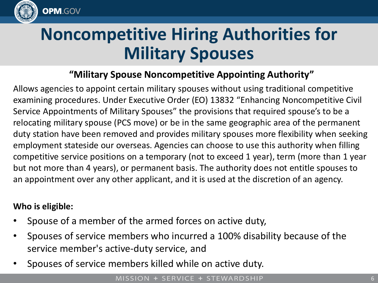

# **Noncompetitive Hiring Authorities for Military Spouses**

### **"Military Spouse Noncompetitive Appointing Authority"**

Allows agencies to appoint certain military spouses without using traditional competitive examining procedures. Under Executive Order (EO) 13832 "Enhancing Noncompetitive Civil Service Appointments of Military Spouses" the provisions that required spouse's to be a relocating military spouse (PCS move) or be in the same geographic area of the permanent duty station have been removed and provides military spouses more flexibility when seeking employment stateside our overseas. Agencies can choose to use this authority when filling competitive service positions on a temporary (not to exceed 1 year), term (more than 1 year but not more than 4 years), or permanent basis. The authority does not entitle spouses to an appointment over any other applicant, and it is used at the discretion of an agency.

### **Who is eligible:**

- Spouse of a member of the armed forces on active duty,
- Spouses of service members who incurred a 100% disability because of the service member's active-duty service, and
- Spouses of service members killed while on active duty.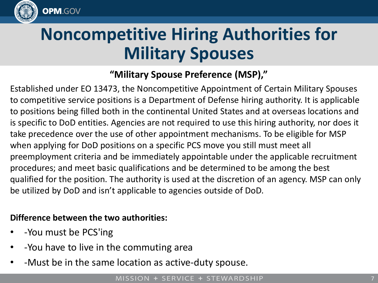

# **Noncompetitive Hiring Authorities for Military Spouses**

### **"Military Spouse Preference (MSP),"**

Established under EO 13473, the Noncompetitive Appointment of Certain Military Spouses to competitive service positions is a Department of Defense hiring authority. It is applicable to positions being filled both in the continental United States and at overseas locations and is specific to DoD entities. Agencies are not required to use this hiring authority, nor does it take precedence over the use of other appointment mechanisms. To be eligible for MSP when applying for DoD positions on a specific PCS move you still must meet all preemployment criteria and be immediately appointable under the applicable recruitment procedures; and meet basic qualifications and be determined to be among the best qualified for the position. The authority is used at the discretion of an agency. MSP can only be utilized by DoD and isn't applicable to agencies outside of DoD.

#### **Difference between the two authorities:**

- -You must be PCS'ing
- -You have to live in the commuting area
- -Must be in the same location as active-duty spouse.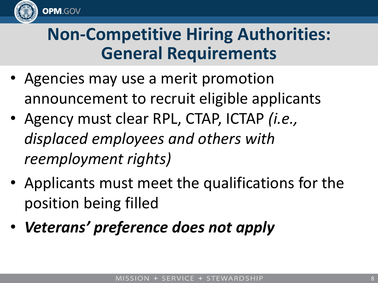

### **Non-Competitive Hiring Authorities: General Requirements**

- Agencies may use a merit promotion announcement to recruit eligible applicants
- Agency must clear RPL, CTAP, ICTAP *(i.e., displaced employees and others with reemployment rights)*
- Applicants must meet the qualifications for the position being filled
- *Veterans' preference does not apply*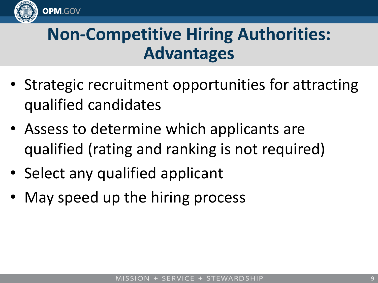

### **Non-Competitive Hiring Authorities: Advantages**

- Strategic recruitment opportunities for attracting qualified candidates
- Assess to determine which applicants are qualified (rating and ranking is not required)
- Select any qualified applicant
- May speed up the hiring process